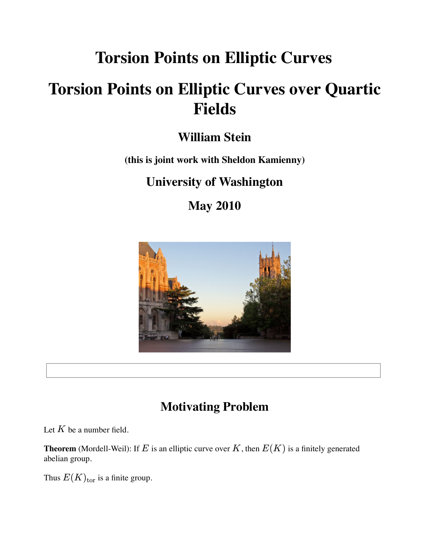# **Torsion Points on Elliptic Curves**

# **Torsion Points on Elliptic Curves over Quartic Fields**

## **William Stein**

## **(this is joint work with Sheldon Kamienny)**

## **University of Washington**

**May 2010**



## **Motivating Problem**

Let  $K$  be a number field.

**Theorem** (Mordell-Weil): If  $E$  is an elliptic curve over  $K$  , then  $E(K)$  is a finitely generated abelian group.

Thus  $E(K)_{\text{tor}}$  is a finite group.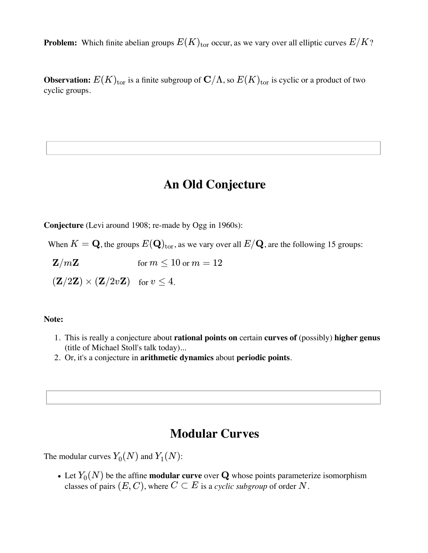**Problem:** Which finite abelian groups  $E(K)_{\mathrm{tor}}$  occur, as we vary over all elliptic curves  $E/K$ ?

 ${\bf Observation:} \ E(K)_{\rm tor}$  is a finite subgroup of  ${\bf C}/\Lambda,$  so  $E(K)_{\rm tor}$  is cyclic or a product of two cyclic groups.

### **An Old Conjecture**

**Conjecture** (Levi around 1908; re-made by Ogg in 1960s):

When  $K = \mathbf{Q}$ , the groups  $E(\mathbf{Q})_{\text{tor}}$ , as we vary over all  $E/\mathbf{Q}$ , are the following 15 groups:

 ${\bf Z}/m{\bf Z} \hspace{1.5cm}$  for  $m\leq 10$  or  $m=12$ 

 $\mathbf{Z}/2\mathbf{Z})\times \mathbf{(Z}/2v\mathbf{Z}) \quad \text{for } v\leq 4.$ 

#### **Note:**

- This is really a conjecture about **rational points on** certain **curves of** (possibly) **higher genus** 1. (title of Michael Stoll's talk today)...
- 2. Or, it's a conjecture in **arithmetic dynamics** about **periodic points**.

### **Modular Curves**

The modular curves  $Y_0(N)$  and  $Y_1(N)$ :

Let  $Y_0(N)$  be the affine **modular curve** over  $\mathbf Q$  whose points parameterize isomorphism classes of pairs  $(E, C)$ , where  $C \subset E$  is a *cyclic subgroup* of order  $N$ .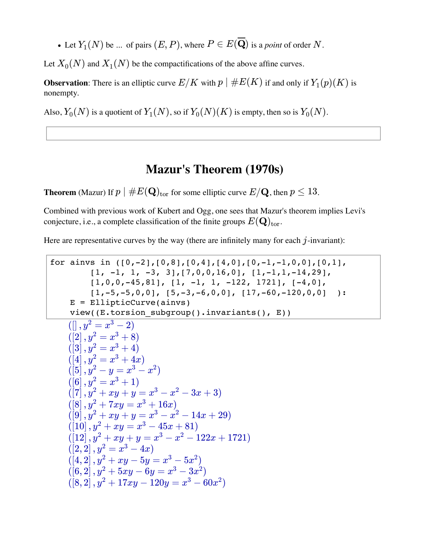Let  $Y_1(N)$  be ... of pairs  $(E, P)$ , where  $P \in E(\mathbf{Q})$  is a *point* of order  $N$ .

Let  $X_0(N)$  and  $X_1(N)$  be the compactifications of the above affine curves.

**Observation**: There is an elliptic curve  $E/K$  with  $p \mid \#E(K)$  if and only if  $Y_1(p)(K)$  is nonempty.

Also,  $Y_0(N)$  is a quotient of  $Y_1(N)$ , so if  $Y_0(N)(K)$  is empty, then so is  $Y_0(N)$ .

### **Mazur's Theorem (1970s)**

 ${\bf Theorem}$  (Mazur) If  $p\mid \#E({\bf Q})_{\rm tor}$  for some elliptic curve  $E/{\bf Q}$ , then  $p\leq 13$ .

Combined with previous work of Kubert and Ogg, one sees that Mazur's theorem implies Levi's conjecture, i.e., a complete classification of the finite groups  $E(\mathbf{Q})_{\mathrm{tor}}.$ 

Here are representative curves by the way (there are infinitely many for each  $j$ -invariant):

```
for ainvs in ([0,-2], [0,8], [0,4], [4,0], [0,-1,-1,0,0], [0,1],[1, -1, 1, -3, 3], [7, 0, 0, 16, 0], [1, -1, 1, -14, 29],[1,0,0,-45,81], [1, -1, 1, -122, 1721], [-4, 0],
          [1,-5,-5,0,0], [5,-3,-6,0,0], [17,-60,-120,0,0] ):
      E = EllipticCurve(ainvs)
     view((E.torsion subgroup().invariants(), E))
    (|, y^2 = x^3 - 2(\overline{[2]}, y^2 = x^3 + 8)([3], y^2 = x^3 + 4)([4], y^2 = x^3 + 4x)(\left[5\right], y^2 - y = x^3 - x^2)(\overline{6}, \overline{y^2} = x^3 + 1)(\overline{7}, \overline{y^2 + xy + y} = x^3 - x^2 - 3x + 3)([8], y^2 + 7xy = x^3 + 16x)([9], y^2 + xy + y = x^3 - x^2 - 14x + 29)([10], y^2 + xy = x^3 - 45x + 81)([12], y^2 + xy + y = x^3 - x^2 - 122x + 1721)([2, 2], y^2 = x^3 - 4x)([4,2], y^2 + xy - 5y = x^3 - 5x^2((6, 2), y^2 + 5xy - 6y = x^3 - 3x^2)(\sqrt{8}, 2) \cdot y^2 + 17xy - 120y = x^3 - 60x^2
```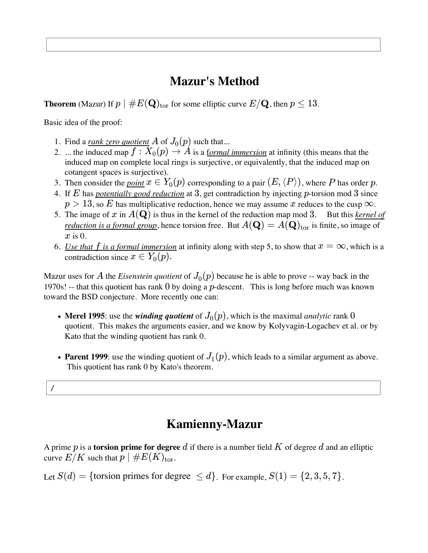## **Mazur's Method**

 ${\bf Theorem}$  (Mazur) If  $p\mid \#E({\bf Q})_{\rm tor}$  for some elliptic curve  $E/{\bf Q}$  , then  $p\leq 13$  .

Basic idea of the proof:

- 1. Find a <u>rank zero quotient</u>  $A$  of  $J_0(p)$  such that...
- 2. ... the induced map  $f: X_0(p) \to A$  is a <u>formal immersion</u> at infinity (this means that the induced map on complete local rings is surjective, or equivalently, that the induced map on cotangent spaces is surjective).
- 3. Then consider the *point*  $x \in Y_0(p)$  corresponding to a pair  $(E, \langle P \rangle)$ , where P has order p.
- 4. If E has *potentially good reduction* at 3, get contradiction by injecting p-torsion mod 3 since  $p > 13$ , so E has multiplicative reduction, hence we may assume x reduces to the cusp  $\infty$ .
- 5. The image of x in  $A(\mathbf{Q})$  is thus in the kernel of the reduction map mod 3. But this *kernel of reduction is a formal group*, hence torsion free. But  $A(\mathbf{Q}) = A(\mathbf{Q})_{\mathrm{tor}}$  is finite, so image of  $x$  is 0.
- 6. *Use that f is a formal immersion* at infinity along with step 5, to show that  $x = \infty$ , which is a contradiction since  $x \in Y_0(p)$ .

Mazur uses for  $A$  the *Eisenstein quotient* of  $J_0(p)$  because he is able to prove -- way back in the 1970s! -- that this quotient has rank  $0$  by doing a  $p$ -descent. This is long before much was known toward the BSD conjecture. More recently one can:

- **Merel 1995**: use the *winding quotient* of  $J_0(p)$ , which is the maximal *analytic* rank  $0$ quotient. This makes the arguments easier, and we know by Kolyvagin-Logachev et al. or by Kato that the winding quotient has rank 0.
- **Parent 1999**: use the winding quotient of  $J_1(p)$ , which leads to a similar argument as above. This quotient has rank 0 by Kato's theorem.

/

## **Kamienny-Mazur**

A prime  $p$  is a **torsion prime for degree**  $d$  if there is a number field  $K$  of degree  $d$  and an elliptic curve  $E/K$  such that  $p \mid \#E(K)_{\text{tor}}$ .

Let  $S(d) = \{\text{torsion primes for degree } \leq d\}$ . For example,  $S(1) = \{2, 3, 5, 7\}$ .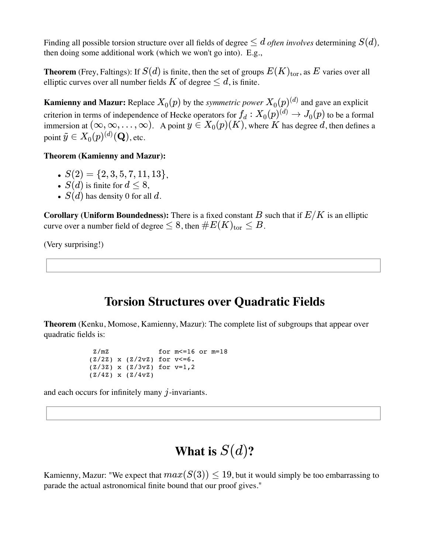Finding all possible torsion structure over all fields of degree  $\leq d$  *often involves* determining  $S(d)$ , then doing some additional work (which we won't go into). E.g.,

**Theorem** (Frey, Faltings): If  $S(d)$  is finite, then the set of groups  $E(K)_{\mathrm{tor}},$  as  $E$  varies over all elliptic curves over all number fields  $K$  of degree  $\leq d$ , is finite.

**Kamienny and Mazur:** Replace  $X_0(p)$  by the *symmetric power*  $X_0(p)^{(d)}$  and gave an explicit criterion in terms of independence of Hecke operators for  $f_d: X_0(p)^{(d)} \to J_0(p)$  to be a formal immersion at  $(\infty, \infty, \ldots, \infty)$ . A point  $y \in X_0(p)(K)$ , where K has degree d, then defines a point  $\tilde{y} \in X_0(p)^{(d)}(\mathbf{Q})$ , etc.

#### **Theorem (Kamienny and Mazur):**

- $S(2) = \{2, 3, 5, 7, 11, 13\},\$
- $S(d)$  is finite for  $d \leq 8$ ,
- $S(d)$  has density 0 for all  $d.$

 ${\bf Corollary~(Uniform~Boundedness)}$ : There is a fixed constant  $B$  such that if  $E/K$  is an elliptic curve over a number field of degree  $\leq 8$  , then  $\#E(K)_{\mathrm{tor}}\leq B$  .

(Very surprising!)

### **Torsion Structures over Quadratic Fields**

**Theorem** (Kenku, Momose, Kamienny, Mazur): The complete list of subgroups that appear over quadratic fields is:

```
 Z/mZ for m<=16 or m=18
(Z/2Z) x (Z/2vZ) for v \le 6.
 (Z/3Z) x (Z/3vZ) for v=1,2
 (Z/4Z) x (Z/4vZ)
```
and each occurs for infinitely many  $j$ -invariants.

## What is  $S(d)$ ?

Kamienny, Mazur: "We expect that  $max(S(3)) \leq 19$ , but it would simply be too embarrassing to parade the actual astronomical finite bound that our proof gives."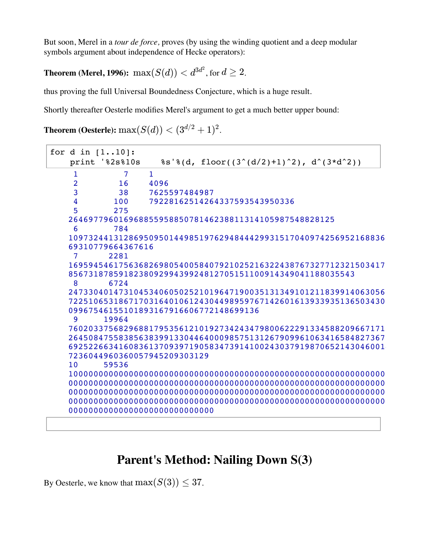But soon, Merel in a *tour de force,* proves (by using the winding quotient and a deep modular symbols argument about independence of Hecke operators):

 $\bf Theorem$  (Merel, 1996):  $\max(S(d)) < d^{3d^2}$ , for  $d \geq 2$ .

thus proving the full Universal Boundedness Conjecture, which is a huge result.

Shortly thereafter Oesterle modifies Merel's argument to get a much better upper bound:

```
\textbf{Theorem (Oesterle):} \max(S(d)) < (3^{d/2}+1)^2.
```

```
for d in [1..10]:
   print '%2s%10s %s'%(d, floor((3^{(d/2)+1)^2), d^(3*d^2))
    1 7 1
    2 16 4096<br>3 38 7625!
              3 38 7625597484987
     4 100 79228162514264337593543950336
     5 275 
   26469779601696885595885078146238811314105987548828125
     6 784 
   109732441312869509501449851976294844429931517040974256952168836
   69310779664367616
     7 2281 
   169594546175636826980540058407921025216322438767327712321503417
   856731878591823809299439924812705151100914349041188035543
     8 6724 
   247330401473104534060502521019647190035131349101211839914063056
   722510653186717031640106124304498959767142601613933935136503430
   09967546155101893167916606772148699136
     9 19964 
   760203375682968817953561210192734243479800622291334588209667171
   264508475583856383991330446400098575131267909961063416584827367
   692522663416083613709397190583473914100243037919870652143046001
   7236044960360057945209303129
   10 59536 
   10000000000000000000000000000000000000000000000000000000000000000000\
   00000000000000000000000000000000000000000000000000000000000000000000\
   00000000000000000000000000000000000000000000000000000000000000000000\
   00000000000000000000000000000000000000000000000000000000000000000000\
   00000000000000000000000000000
```
## **Parent's Method: Nailing Down S(3)**

By Oesterle, we know that  $\max(S(3)) \leq 37$ .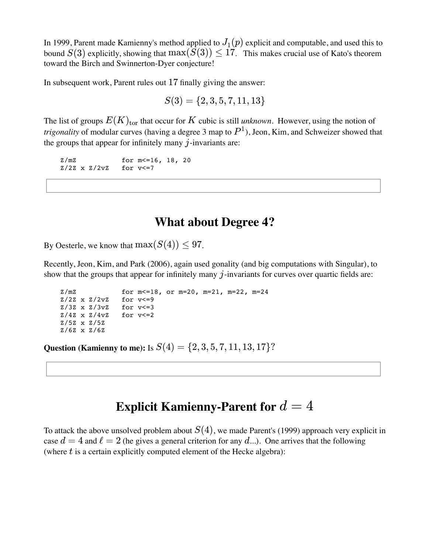In 1999, Parent made Kamienny's method applied to  $J_1(p)$  explicit and computable, and used this to bound  $S(3)$  explicitly, showing that  $\max(S(3)) \leq 17$ . This makes crucial use of Kato's theorem toward the Birch and Swinnerton-Dyer conjecture!

In subsequent work, Parent rules out  $17$  finally giving the answer:

$$
S(3) = \{2,3,5,7,11,13\}
$$

The list of groups  $E(K)_{\rm tor}$  that occur for  $K$  cubic is still *unknown*. However, using the notion of *trigonality* of modular curves (having a degree 3 map to  $P^1$ ), Jeon, Kim, and Schweizer showed that the groups that appear for infinitely many  $j$ -invariants are:

z/mz for m <= 16, 18, 20 Z/2Z x Z/2vZ for v<=7

### **What about Degree 4?**

By Oesterle, we know that  $\max(S(4)) \leq 97$ .

Recently, Jeon, Kim, and Park (2006), again used gonality (and big computations with Singular), to show that the groups that appear for infinitely many  $j$ -invariants for curves over quartic fields are:

```
z/mz for m < = 18, or m = 20, m = 21, m = 22, m = 24 Z/2Z x Z/2vZ for v<=9
 Z/3Z x Z/3vZ for v<=3
 Z/4Z x Z/4vZ for v<=2
 Z/5Z x Z/5Z 
 Z/6Z x Z/6Z
```
 $Q$ uestion (Kamienny to me): Is  $S(4) = \{2,3,5,7,11,13,17\}$ ?

## ${\bf Explicit}$  Kamienny-Parent for  $d=4$

To attack the above unsolved problem about  $S(4)$ , we made Parent's (1999) approach very explicit in case  $d = 4$  and  $\ell = 2$  (he gives a general criterion for any  $d$ ...). One arrives that the following (where  $t$  is a certain explicitly computed element of the Hecke algebra):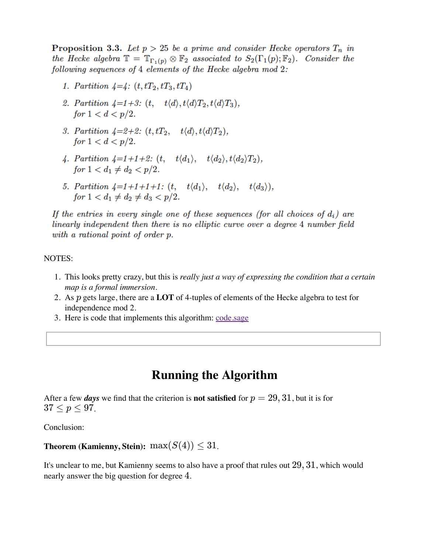**Proposition 3.3.** Let  $p > 25$  be a prime and consider Hecke operators  $T_n$  in the Hecke algebra  $\mathbb{T} = \mathbb{T}_{\Gamma_1(p)} \otimes \mathbb{F}_2$  associated to  $S_2(\Gamma_1(p); \mathbb{F}_2)$ . Consider the following sequences of 4 elements of the Hecke algebra mod 2:

- 1. Partition  $\lambda = \lambda$ :  $(t, tT_2, tT_3, tT_4)$
- 2. Partition  $4=1+3$ :  $(t, t\langle d \rangle, t\langle d \rangle T_2, t\langle d \rangle T_3)$ , for  $1 < d < p/2$ .
- 3. Partition  $4=2+2$ :  $(t, tT_2, t\langle d \rangle, t\langle d \rangle T_2)$ , for  $1 < d < p/2$ .
- 4. Partition  $4=1+1+2$ :  $(t, t\langle d_1 \rangle, t\langle d_2 \rangle, t\langle d_2 \rangle T_2)$ , for  $1 < d_1 \neq d_2 < p/2$ .
- 5. Partition  $4=1+1+1+1$ :  $(t, t\langle d_1 \rangle, t\langle d_2 \rangle, t\langle d_3 \rangle)$ , for  $1 < d_1 \neq d_2 \neq d_3 < p/2$ .

If the entries in every single one of these sequences (for all choices of  $d_i$ ) are linearly independent then there is no elliptic curve over a degree 4 number field with a rational point of order p.

#### NOTES:

- This looks pretty crazy, but this is *really just a way of expressing the condition that a certain* 1. *map is a formal immersion*.
- 2. As  $p$  gets large, there are a LOT of 4-tuples of elements of the Hecke algebra to test for independence mod 2.
- 3. Here is code that implements this algorithm: code.sage

### **Running the Algorithm**

After a few *days* we find that the criterion is **not satisfied** for  $p=29, 31$  , but it is for  $37 \le p \le 97$ .

Conclusion:

## **Theorem (Kamienny, Stein):**  $\max(S(4)) \leq 31$ .

It's unclear to me, but Kamienny seems to also have a proof that rules out  $29, 31$ , which would nearly answer the big question for degree  $4$ .